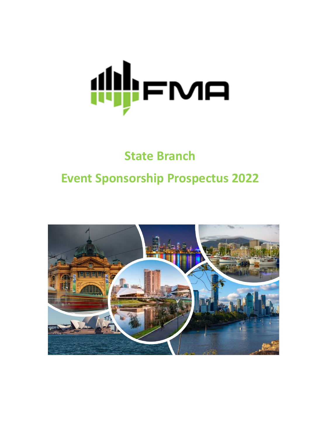

# **State Branch Event Sponsorship Prospectus 2022**

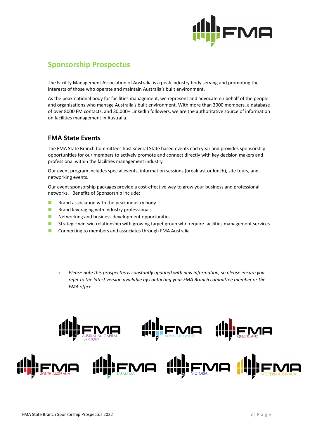

## **Sponsorship Prospectus**

The Facility Management Association of Australia is a peak industry body serving and promoting the interests of those who operate and maintain Australia's built environment.

As the peak national body for facilities management, we represent and advocate on behalf of the people and organisations who manage Australia's built environment. With more than 3000 members, a database of over 8000 FM contacts, and 30,000+ LinkedIn followers, we are the authoritative source of information on facilities management in Australia.

### **FMA State Events**

The FMA State Branch Committees host several State based events each year and provides sponsorship opportunities for our members to actively promote and connect directly with key decision makers and professional within the facilities management industry.

Our event program includes special events, information sessions (breakfast or lunch), site tours, and networking events.

Our event sponsorship packages provide a cost-effective way to grow your business and professional networks. Benefits of Sponsorship include:

- $B$  Brand association with the peak industry body
- **Brand leveraging with industry professionals**
- **Networking and business development opportunities**
- **If** Strategic win-win relationship with growing target group who require facilities management services
- **E** Connecting to members and associates through FMA Australia
	- *Please note this prospectus is constantly updated with new information, so please ensure you refer to the latest version available by contacting your FMA Branch committee member or the FMA office.*

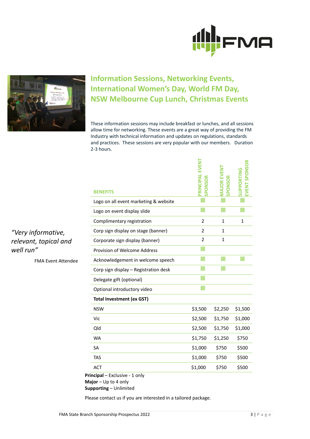



# **Information Sessions, Networking Events, International Women's Day, World FM Day, NSW Melbourne Cup Lunch, Christmas Events**

These information sessions may include breakfast or lunches, and all sessions allow time for networking. These events are a great way of providing the FM Industry with technical information and updates on regulations, standards and practices. These sessions are very popular with our members. Duration 2-3 hours.

| <b>BENEFITS</b>                       | <b>LEVENT</b><br>PRINCIPAL | PONSOR       |         |
|---------------------------------------|----------------------------|--------------|---------|
| Logo on all event marketing & website |                            |              |         |
| Logo on event display slide           |                            |              |         |
| Complimentary registration            | $\overline{2}$             | 1            | 1       |
| Corp sign display on stage (banner)   | $\overline{2}$             | 1            |         |
| Corporate sign display (banner)       | $\overline{2}$             | $\mathbf{1}$ |         |
| Provision of Welcome Address          |                            |              |         |
| Acknowledgement in welcome speech     |                            |              |         |
| Corp sign display - Registration desk |                            |              |         |
| Delegate gift (optional)              |                            |              |         |
| Optional introductory video           |                            |              |         |
| <b>Total Investment (ex GST)</b>      |                            |              |         |
| <b>NSW</b>                            | \$3,500                    | \$2,250      | \$1,500 |
| Vic                                   | \$2,500                    | \$1,750      | \$1,000 |
| Qld                                   | \$2,500                    | \$1,750      | \$1,000 |
| <b>WA</b>                             | \$1,750                    | \$1,250      | \$750   |
| <b>SA</b>                             | \$1,000                    | \$750        | \$500   |
| <b>TAS</b>                            | \$1,000                    | \$750        | \$500   |
| <b>ACT</b>                            | \$1,000                    | \$750        | \$500   |

**Principal** – Exclusive - 1 only **Major** – Up to 4 only **Supporting** – Unlimited

Please contact us if you are interested in a tailored package.

*"Very informative, relevant, topical and well run"*

FMA Event Attendee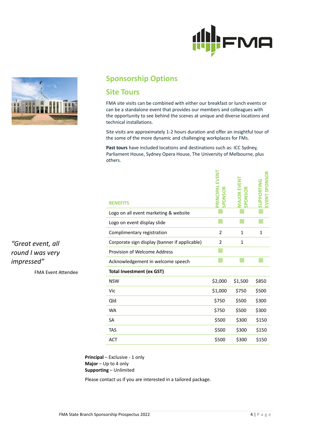



## **Sponsorship Options**

## **Site Tours**

FMA site visits can be combined with either our breakfast or lunch events or can be a standalone event that provides our members and colleagues with the opportunity to see behind the scenes at unique and diverse locations and technical installations.

Site visits are approximately 1-2 hours duration and offer an insightful tour of the some of the more dynamic and challenging workplaces for FMs.

**Past tours** have included locations and destinations such as: ICC Sydney, Parliament House, Sydney Opera House, The University of Melbourne, plus others.

| <b>BENEFITS</b>                               | PRINCIPAL EVENT<br>SPONSOR | MAJOR EVENT<br>SPONSOR | <b>SPONSOR</b><br><b>JPPOR</b><br>EVENT<br>ທ |
|-----------------------------------------------|----------------------------|------------------------|----------------------------------------------|
| Logo on all event marketing & website         |                            |                        |                                              |
| Logo on event display slide                   |                            |                        |                                              |
| Complimentary registration                    | $\overline{2}$             | $\mathbf{1}$           | 1                                            |
| Corporate sign display (banner if applicable) | $\overline{2}$             | 1                      |                                              |
| Provision of Welcome Address                  |                            |                        |                                              |
| Acknowledgement in welcome speech             |                            |                        |                                              |
| <b>Total Investment (ex GST)</b>              |                            |                        |                                              |
| <b>NSW</b>                                    | \$2,000                    | \$1,500                | \$850                                        |
| Vic                                           | \$1,000                    | \$750                  | \$500                                        |
| Qld                                           | \$750                      | \$500                  | \$300                                        |
| <b>WA</b>                                     | \$750                      | \$500                  | \$300                                        |
| <b>SA</b>                                     | \$500                      | \$300                  | \$150                                        |
| <b>TAS</b>                                    | \$500                      | \$300                  | \$150                                        |
| <b>ACT</b>                                    | \$500                      | \$300                  | \$150                                        |

**Principal** – Exclusive - 1 only **Major** – Up to 4 only **Supporting** – Unlimited

Please contact us if you are interested in a tailored package.

*"Great event, all round I was very impressed"*

FMA Event Attendee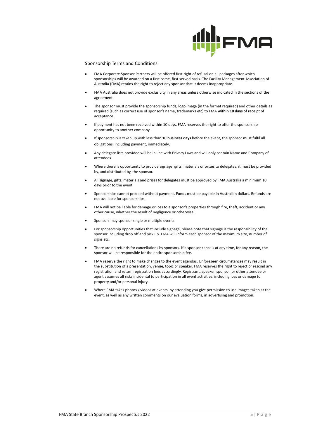

#### Sponsorship Terms and Conditions

- FMA Corporate Sponsor Partners will be offered first right of refusal on all packages after which sponsorships will be awarded on a first come, first served basis. The Facility Management Association of Australia (FMA) retains the right to reject any sponsor that it deems inappropriate.
- FMA Australia does not provide exclusivity in any areas unless otherwise indicated in the sections of the agreement.
- The sponsor must provide the sponsorship funds, logo image (in the format required) and other details as required (such as correct use of sponsor's name, trademarks etc) to FMA **within 10 days** of receipt of acceptance.
- If payment has not been received within 10 days, FMA reserves the right to offer the sponsorship opportunity to another company.
- If sponsorship is taken up with less than **10 business days** before the event, the sponsor must fulfil all obligations, including payment, immediately.
- Any delegate lists provided will be in line with Privacy Laws and will only contain Name and Company of attendees
- Where there is opportunity to provide signage, gifts, materials or prizes to delegates; it must be provided by, and distributed by, the sponsor.
- All signage, gifts, materials and prizes for delegates must be approved by FMA Australia a minimum 10 days prior to the event.
- Sponsorships cannot proceed without payment. Funds must be payable in Australian dollars. Refunds are not available for sponsorships.
- FMA will not be liable for damage or loss to a sponsor's properties through fire, theft, accident or any other cause, whether the result of negligence or otherwise.
- Sponsors may sponsor single or multiple events.
- For sponsorship opportunities that include signage, please note that signage is the responsibility of the sponsor including drop off and pick up. FMA will inform each sponsor of the maximum size, number of signs etc.
- There are no refunds for cancellations by sponsors. If a sponsor cancels at any time, for any reason, the sponsor will be responsible for the entire sponsorship fee.
- FMA reserve the right to make changes to the event agendas. Unforeseen circumstances may result in the substitution of a presentation, venue, topic or speaker. FMA reserves the right to reject or rescind any registration and return registration fees accordingly. Registrant, speaker, sponsor, or other attendee or agent assumes all risks incidental to participation in all event activities, including loss or damage to property and/or personal injury.
- Where FMA takes photos / videos at events, by attending you give permission to use images taken at the event, as well as any written comments on our evaluation forms, in advertising and promotion.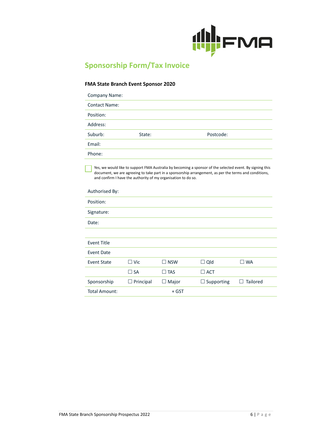

# **Sponsorship Form/Tax Invoice**

#### **FMA State Branch Event Sponsor 2020**

| State: | Postcode: |
|--------|-----------|
|        |           |
|        |           |
|        |           |

Yes, we would like to support FMA Australia by becoming a sponsor of the selected event. By signing this document, we are agreeing to take part in a sponsorship arrangement, as per the terms and conditions, and confirm I have the authority of my organisation to do so.

#### Authorised By:

| Position:            |                  |               |                   |              |
|----------------------|------------------|---------------|-------------------|--------------|
| Signature:           |                  |               |                   |              |
| Date:                |                  |               |                   |              |
|                      |                  |               |                   |              |
| <b>Event Title</b>   |                  |               |                   |              |
| Event Date           |                  |               |                   |              |
| <b>Event State</b>   | $\Box$ Vic       | $\square$ NSW | $\Box$ Qld        | $\square$ WA |
|                      | $\Box$ SA        | $\square$ TAS | $\Box$ ACT        |              |
| Sponsorship          | $\Box$ Principal | Major<br>┙    | $\Box$ Supporting | Tailored     |
| <b>Total Amount:</b> |                  | $+$ GST       |                   |              |